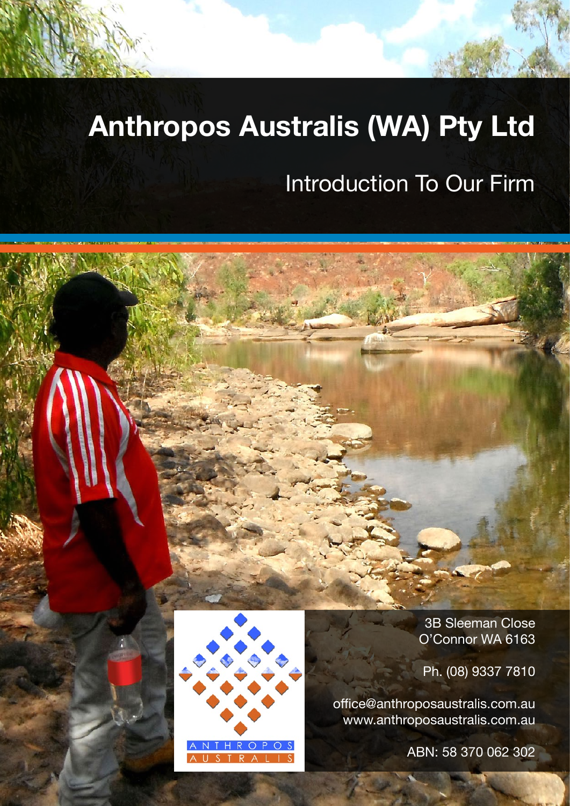# **Anthropos Australis (WA) Pty Ltd**

# Introduction To Our Firm



Ph. (08) 9337 7810

office@anthroposaustralis.com.au www.anthroposaustralis.com.au

ABN: 58 370 062 302

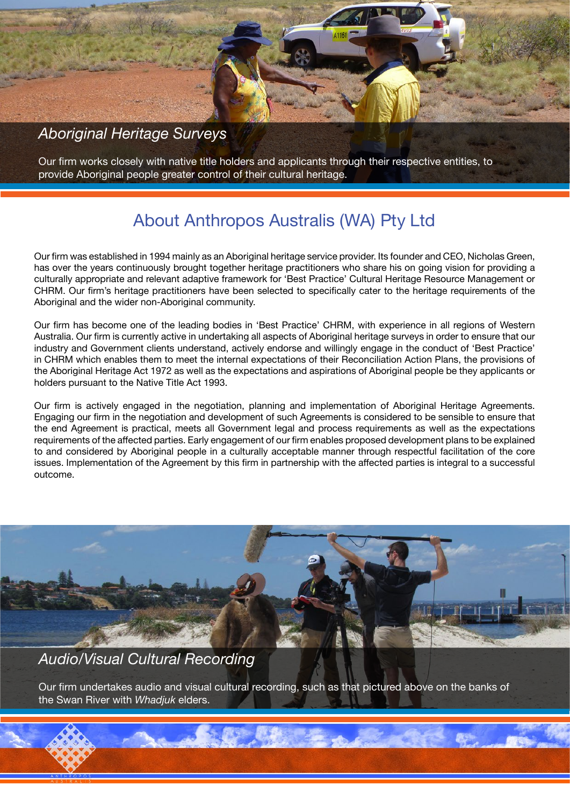### *Aboriginal Heritage Surveys*

Our firm works closely with native title holders and applicants through their respective entities, to provide Aboriginal people greater control of their cultural heritage.

## About Anthropos Australis (WA) Pty Ltd

Our firm was established in 1994 mainly as an Aboriginal heritage service provider. Its founder and CEO, Nicholas Green, has over the years continuously brought together heritage practitioners who share his on going vision for providing a culturally appropriate and relevant adaptive framework for 'Best Practice' Cultural Heritage Resource Management or CHRM. Our firm's heritage practitioners have been selected to specifically cater to the heritage requirements of the Aboriginal and the wider non-Aboriginal community.

Our firm has become one of the leading bodies in 'Best Practice' CHRM, with experience in all regions of Western Australia. Our firm is currently active in undertaking all aspects of Aboriginal heritage surveys in order to ensure that our industry and Government clients understand, actively endorse and willingly engage in the conduct of 'Best Practice' in CHRM which enables them to meet the internal expectations of their Reconciliation Action Plans, the provisions of the Aboriginal Heritage Act 1972 as well as the expectations and aspirations of Aboriginal people be they applicants or holders pursuant to the Native Title Act 1993.

Our firm is actively engaged in the negotiation, planning and implementation of Aboriginal Heritage Agreements. Engaging our firm in the negotiation and development of such Agreements is considered to be sensible to ensure that the end Agreement is practical, meets all Government legal and process requirements as well as the expectations requirements of the affected parties. Early engagement of our firm enables proposed development plans to be explained to and considered by Aboriginal people in a culturally acceptable manner through respectful facilitation of the core issues. Implementation of the Agreement by this firm in partnership with the affected parties is integral to a successful outcome.



*Audio/Visual Cultural Recording*

Our firm undertakes audio and visual cultural recording, such as that pictured above on the banks of the Swan River with *Whadjuk* elders.